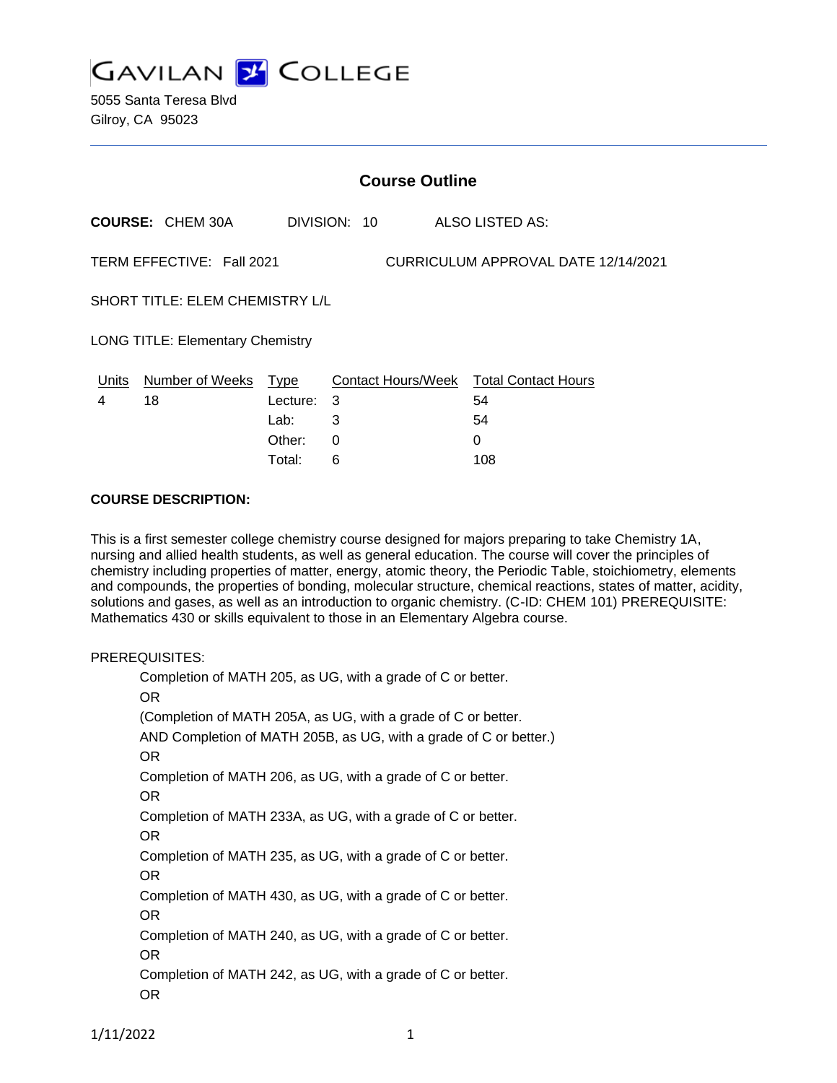**GAVILAN J COLLEGE** 

5055 Santa Teresa Blvd Gilroy, CA 95023

|                                                                  | <b>Course Outline</b>      |          |              |  |                                        |  |
|------------------------------------------------------------------|----------------------------|----------|--------------|--|----------------------------------------|--|
|                                                                  | <b>COURSE: CHEM 30A</b>    |          | DIVISION: 10 |  | ALSO LISTED AS:                        |  |
| TERM EFFECTIVE: Fall 2021<br>CURRICULUM APPROVAL DATE 12/14/2021 |                            |          |              |  |                                        |  |
| <b>SHORT TITLE: ELEM CHEMISTRY L/L</b>                           |                            |          |              |  |                                        |  |
| <b>LONG TITLE: Elementary Chemistry</b>                          |                            |          |              |  |                                        |  |
|                                                                  | Units Number of Weeks Type |          |              |  | Contact Hours/Week Total Contact Hours |  |
| 4                                                                | 18                         | Lecture: | 3            |  | 54                                     |  |
|                                                                  |                            | Lab:     | 3            |  | 54                                     |  |
|                                                                  |                            | Other:   | 0            |  | 0                                      |  |
|                                                                  |                            | Total:   | 6            |  | 108                                    |  |

### **COURSE DESCRIPTION:**

This is a first semester college chemistry course designed for majors preparing to take Chemistry 1A, nursing and allied health students, as well as general education. The course will cover the principles of chemistry including properties of matter, energy, atomic theory, the Periodic Table, stoichiometry, elements and compounds, the properties of bonding, molecular structure, chemical reactions, states of matter, acidity, solutions and gases, as well as an introduction to organic chemistry. (C-ID: CHEM 101) PREREQUISITE: Mathematics 430 or skills equivalent to those in an Elementary Algebra course.

## PREREQUISITES:

Completion of MATH 205, as UG, with a grade of C or better. OR (Completion of MATH 205A, as UG, with a grade of C or better. AND Completion of MATH 205B, as UG, with a grade of C or better.) OR Completion of MATH 206, as UG, with a grade of C or better. OR Completion of MATH 233A, as UG, with a grade of C or better. OR Completion of MATH 235, as UG, with a grade of C or better. OR Completion of MATH 430, as UG, with a grade of C or better. OR Completion of MATH 240, as UG, with a grade of C or better. OR Completion of MATH 242, as UG, with a grade of C or better. OR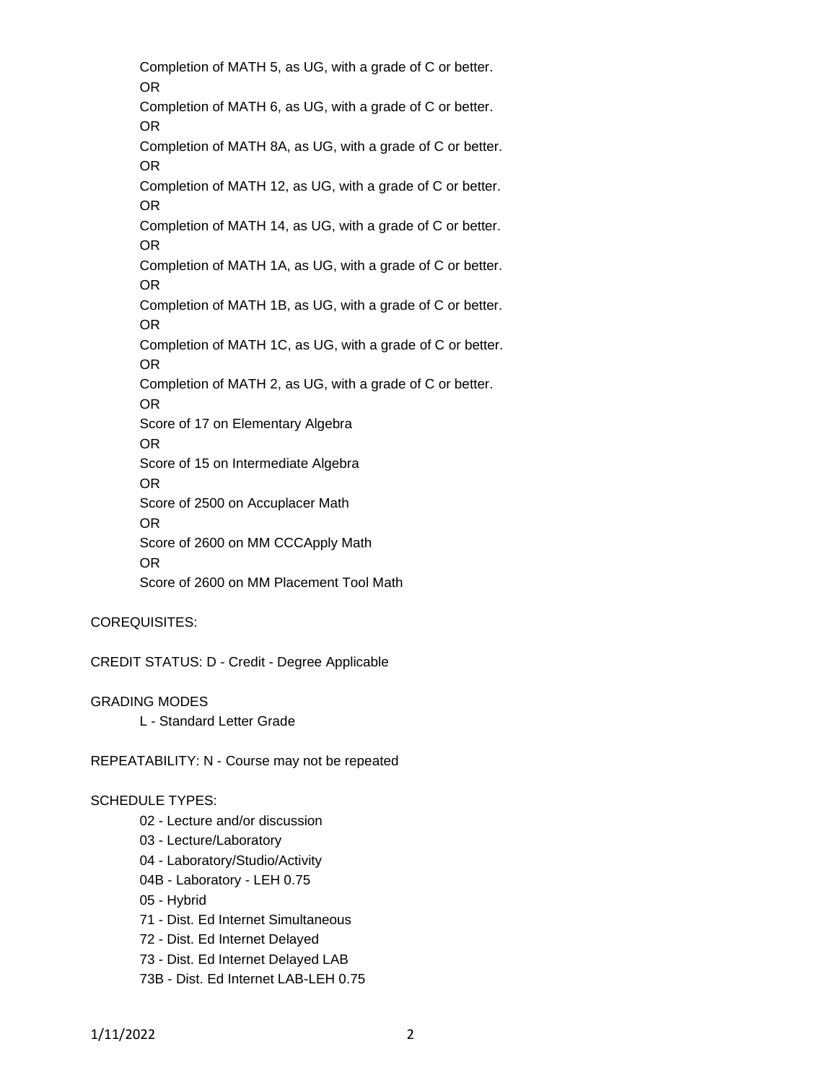Completion of MATH 5, as UG, with a grade of C or better. OR Completion of MATH 6, as UG, with a grade of C or better. OR Completion of MATH 8A, as UG, with a grade of C or better. OR Completion of MATH 12, as UG, with a grade of C or better. OR Completion of MATH 14, as UG, with a grade of C or better. OR Completion of MATH 1A, as UG, with a grade of C or better. OR Completion of MATH 1B, as UG, with a grade of C or better. OR Completion of MATH 1C, as UG, with a grade of C or better. OR Completion of MATH 2, as UG, with a grade of C or better. OR Score of 17 on Elementary Algebra OR Score of 15 on Intermediate Algebra OR Score of 2500 on Accuplacer Math OR Score of 2600 on MM CCCApply Math OR Score of 2600 on MM Placement Tool Math

## COREQUISITES:

CREDIT STATUS: D - Credit - Degree Applicable

GRADING MODES L - Standard Letter Grade

REPEATABILITY: N - Course may not be repeated

#### SCHEDULE TYPES:

02 - Lecture and/or discussion

- 03 Lecture/Laboratory
- 04 Laboratory/Studio/Activity
- 04B Laboratory LEH 0.75
- 05 Hybrid

71 - Dist. Ed Internet Simultaneous

- 72 Dist. Ed Internet Delayed
- 73 Dist. Ed Internet Delayed LAB
- 73B Dist. Ed Internet LAB-LEH 0.75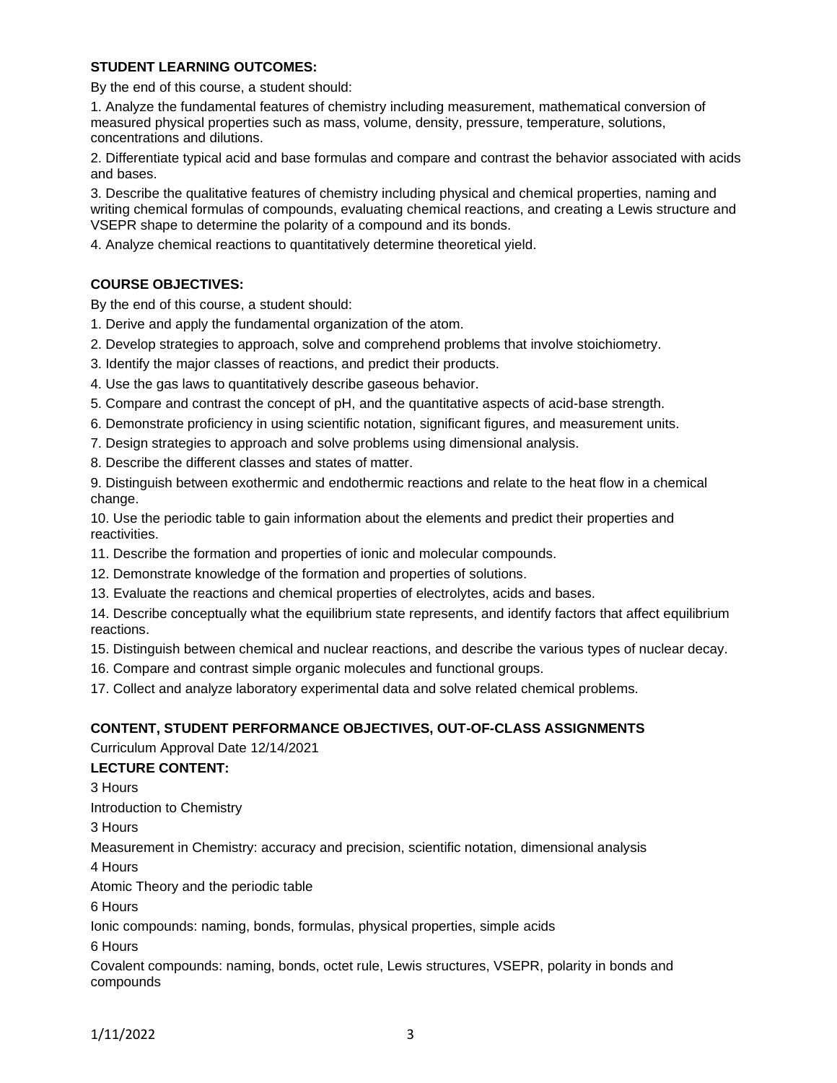## **STUDENT LEARNING OUTCOMES:**

By the end of this course, a student should:

1. Analyze the fundamental features of chemistry including measurement, mathematical conversion of measured physical properties such as mass, volume, density, pressure, temperature, solutions, concentrations and dilutions.

2. Differentiate typical acid and base formulas and compare and contrast the behavior associated with acids and bases.

3. Describe the qualitative features of chemistry including physical and chemical properties, naming and writing chemical formulas of compounds, evaluating chemical reactions, and creating a Lewis structure and VSEPR shape to determine the polarity of a compound and its bonds.

4. Analyze chemical reactions to quantitatively determine theoretical yield.

# **COURSE OBJECTIVES:**

By the end of this course, a student should:

- 1. Derive and apply the fundamental organization of the atom.
- 2. Develop strategies to approach, solve and comprehend problems that involve stoichiometry.
- 3. Identify the major classes of reactions, and predict their products.
- 4. Use the gas laws to quantitatively describe gaseous behavior.
- 5. Compare and contrast the concept of pH, and the quantitative aspects of acid-base strength.
- 6. Demonstrate proficiency in using scientific notation, significant figures, and measurement units.
- 7. Design strategies to approach and solve problems using dimensional analysis.
- 8. Describe the different classes and states of matter.

9. Distinguish between exothermic and endothermic reactions and relate to the heat flow in a chemical change.

10. Use the periodic table to gain information about the elements and predict their properties and reactivities.

11. Describe the formation and properties of ionic and molecular compounds.

- 12. Demonstrate knowledge of the formation and properties of solutions.
- 13. Evaluate the reactions and chemical properties of electrolytes, acids and bases.

14. Describe conceptually what the equilibrium state represents, and identify factors that affect equilibrium reactions.

15. Distinguish between chemical and nuclear reactions, and describe the various types of nuclear decay.

16. Compare and contrast simple organic molecules and functional groups.

17. Collect and analyze laboratory experimental data and solve related chemical problems.

## **CONTENT, STUDENT PERFORMANCE OBJECTIVES, OUT-OF-CLASS ASSIGNMENTS**

Curriculum Approval Date 12/14/2021

## **LECTURE CONTENT:**

3 Hours

Introduction to Chemistry

3 Hours

Measurement in Chemistry: accuracy and precision, scientific notation, dimensional analysis

4 Hours

Atomic Theory and the periodic table

6 Hours

Ionic compounds: naming, bonds, formulas, physical properties, simple acids

6 Hours

Covalent compounds: naming, bonds, octet rule, Lewis structures, VSEPR, polarity in bonds and compounds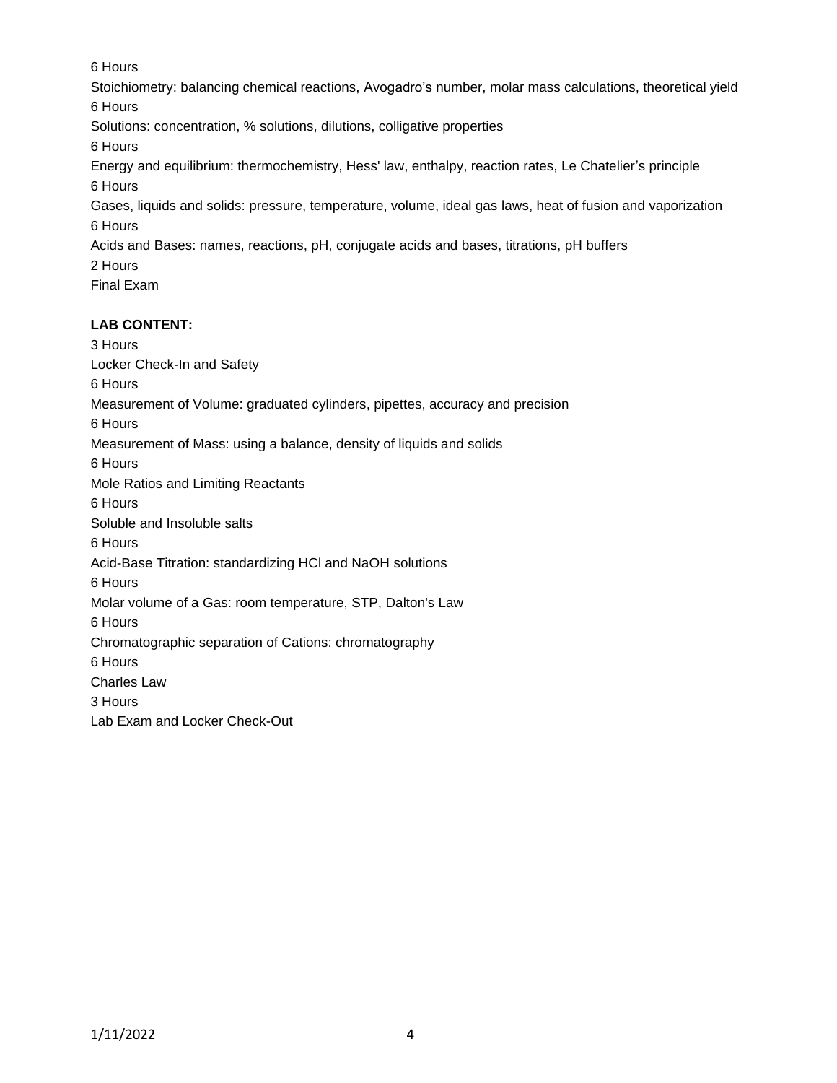6 Hours

Stoichiometry: balancing chemical reactions, Avogadro's number, molar mass calculations, theoretical yield 6 Hours

Solutions: concentration, % solutions, dilutions, colligative properties

6 Hours

Energy and equilibrium: thermochemistry, Hess' law, enthalpy, reaction rates, Le Chatelier's principle 6 Hours

Gases, liquids and solids: pressure, temperature, volume, ideal gas laws, heat of fusion and vaporization 6 Hours

Acids and Bases: names, reactions, pH, conjugate acids and bases, titrations, pH buffers

2 Hours

Final Exam

# **LAB CONTENT:**

3 Hours Locker Check-In and Safety 6 Hours Measurement of Volume: graduated cylinders, pipettes, accuracy and precision 6 Hours Measurement of Mass: using a balance, density of liquids and solids 6 Hours Mole Ratios and Limiting Reactants 6 Hours Soluble and Insoluble salts 6 Hours Acid-Base Titration: standardizing HCl and NaOH solutions 6 Hours Molar volume of a Gas: room temperature, STP, Dalton's Law 6 Hours Chromatographic separation of Cations: chromatography 6 Hours Charles Law 3 Hours Lab Exam and Locker Check-Out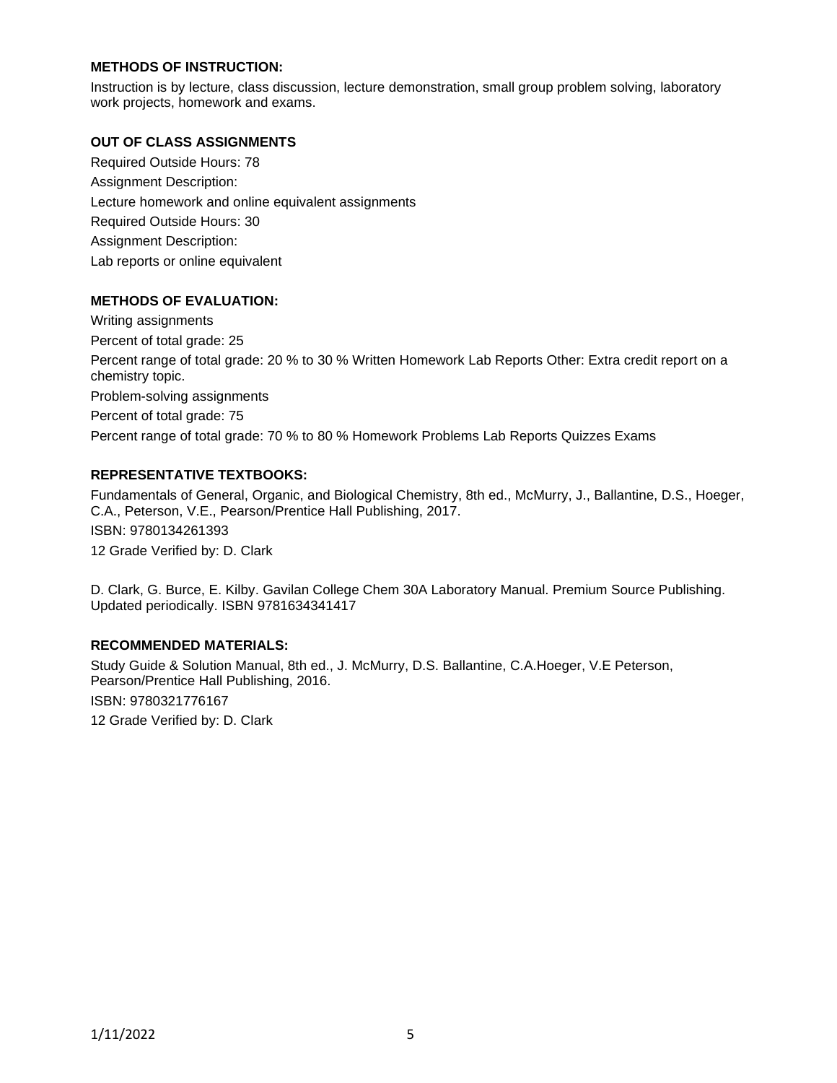# **METHODS OF INSTRUCTION:**

Instruction is by lecture, class discussion, lecture demonstration, small group problem solving, laboratory work projects, homework and exams.

## **OUT OF CLASS ASSIGNMENTS**

Required Outside Hours: 78 Assignment Description: Lecture homework and online equivalent assignments Required Outside Hours: 30 Assignment Description: Lab reports or online equivalent

# **METHODS OF EVALUATION:**

Writing assignments Percent of total grade: 25 Percent range of total grade: 20 % to 30 % Written Homework Lab Reports Other: Extra credit report on a chemistry topic. Problem-solving assignments Percent of total grade: 75 Percent range of total grade: 70 % to 80 % Homework Problems Lab Reports Quizzes Exams

# **REPRESENTATIVE TEXTBOOKS:**

Fundamentals of General, Organic, and Biological Chemistry, 8th ed., McMurry, J., Ballantine, D.S., Hoeger, C.A., Peterson, V.E., Pearson/Prentice Hall Publishing, 2017. ISBN: 9780134261393 12 Grade Verified by: D. Clark

D. Clark, G. Burce, E. Kilby. Gavilan College Chem 30A Laboratory Manual. Premium Source Publishing. Updated periodically. ISBN 9781634341417

## **RECOMMENDED MATERIALS:**

Study Guide & Solution Manual, 8th ed., J. McMurry, D.S. Ballantine, C.A.Hoeger, V.E Peterson, Pearson/Prentice Hall Publishing, 2016. ISBN: 9780321776167 12 Grade Verified by: D. Clark